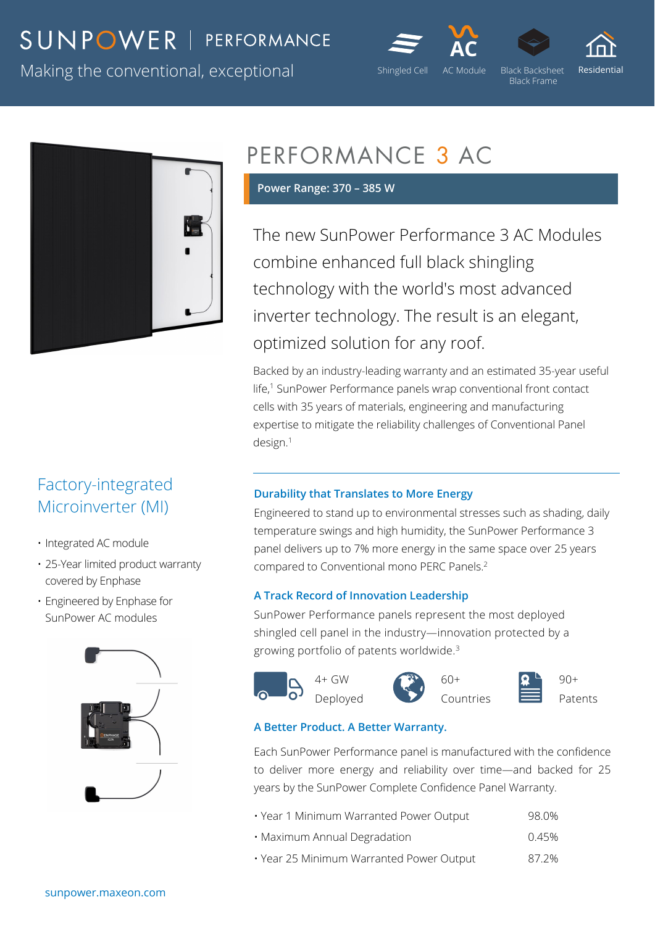# SUNPOWER | PERFORMANCE





Black Frame

Residen

Making the conventional, exceptional Shingled Cell AC Module Black Backsheet



## PERFORMANCE 3 AC

 **Power Range: 370 – 385 W** 

The new SunPower Performance 3 AC Modules combine enhanced full black shingling technology with the world's most advanced inverter technology. The result is an elegant, optimized solution for any roof.

Backed by an industry-leading warranty and an estimated 35-year useful life,<sup>1</sup> SunPower Performance panels wrap conventional front contact cells with 35 years of materials, engineering and manufacturing expertise to mitigate the reliability challenges of Conventional Panel design.1

### Factory-integrated Microinverter (MI)

- Integrated AC module
- 25-Year limited product warranty covered by Enphase
- Engineered by Enphase for SunPower AC modules



### **Durability that Translates to More Energy**

Engineered to stand up to environmental stresses such as shading, daily temperature swings and high humidity, the SunPower Performance 3 panel delivers up to 7% more energy in the same space over 25 years compared to Conventional mono PERC Panels.2

### **A Track Record of Innovation Leadership**

SunPower Performance panels represent the most deployed shingled cell panel in the industry—innovation protected by a growing portfolio of patents worldwide.3



4+ GW Deployed



60+ Countries



Patents

### **A Better Product. A Better Warranty.**

Each SunPower Performance panel is manufactured with the confidence to deliver more energy and reliability over time—and backed for 25 years by the SunPower Complete Confidence Panel Warranty.

- Year 1 Minimum Warranted Power Output 98.0%
- Maximum Annual Degradation 0.45%
- Year 25 Minimum Warranted Power Output 87.2%